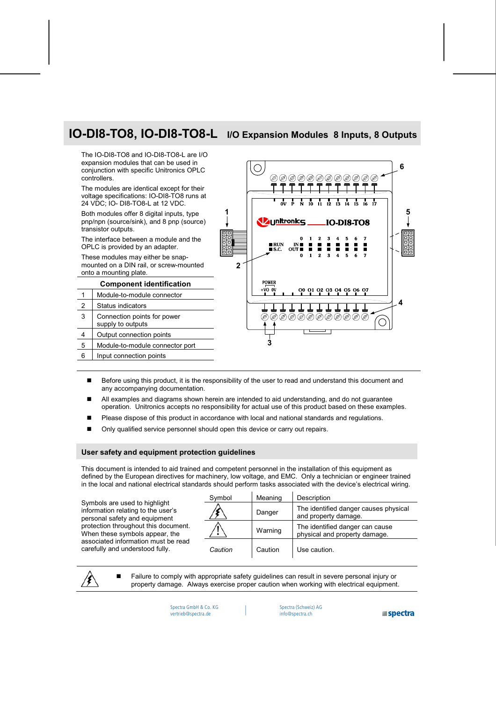# **IO-DI8-TO8, IO-DI8-TO8-L I/O Expansion Modules 8 Inputs, 8 Outputs**

The IO-DI8-TO8 and IO-DI8-TO8-L are I/O expansion modules that can be used in conjunction with specific Unitronics OPLC controllers.

The modules are identical except for their voltage specifications: IO-DI8-TO8 runs at 24 VDC; IO- DI8-TO8-L at 12 VDC.

Both modules offer 8 digital inputs, type pnp/npn (source/sink), and 8 pnp (source) transistor outputs.

The interface between a module and the OPLC is provided by an adapter.

These modules may either be snapmounted on a DIN rail, or screw-mounted onto a mounting plate.

**Component identification**  Module-to-module connector Status indicators Connection points for power supply to outputs 4 | Output connection points Module-to-module connector port Input connection points



- Before using this product, it is the responsibility of the user to read and understand this document and any accompanying documentation.
- All examples and diagrams shown herein are intended to aid understanding, and do not guarantee operation. Unitronics accepts no responsibility for actual use of this product based on these examples.
- **Please dispose of this product in accordance with local and national standards and regulations.**
- Only qualified service personnel should open this device or carry out repairs.

# **User safety and equipment protection guidelines**

This document is intended to aid trained and competent personnel in the installation of this equipment as defined by the European directives for machinery, low voltage, and EMC. Only a technician or engineer trained in the local and national electrical standards should perform tasks associated with the device's electrical wiring.

Symbols are used to highlight information relating to the user's personal safety and equipment protection throughout this document. When these symbols appear, the associated information must be read carefully and understood fully.

| Symbol  | Meaning | Description                                                      |
|---------|---------|------------------------------------------------------------------|
|         | Danger  | The identified danger causes physical<br>and property damage.    |
|         | Warning | The identified danger can cause<br>physical and property damage. |
| Caution | Caution | Use caution.                                                     |

 Failure to comply with appropriate safety guidelines can result in severe personal injury or property damage. Always exercise proper caution when working with electrical equipment.

> Spectra GmbH & Co. KG vertrieb@spectra.de

Spectra (Schweiz) AG info@spectra.ch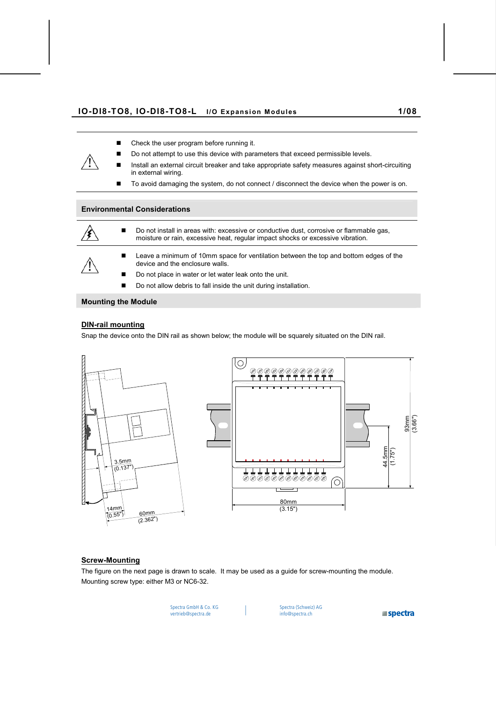- Check the user program before running it.
- Do not attempt to use this device with parameters that exceed permissible levels.
- Install an external circuit breaker and take appropriate safety measures against short-circuiting in external wiring.
- To avoid damaging the system, do not connect / disconnect the device when the power is on.

# **Environmental Considerations**

- Do not install in areas with: excessive or conductive dust, corrosive or flammable gas, moisture or rain, excessive heat, regular impact shocks or excessive vibration. **Leave a minimum of 10mm space for ventilation between the top and bottom edges of the** device and the enclosure walls.
	- Do not place in water or let water leak onto the unit.
	- Do not allow debris to fall inside the unit during installation.

# **Mounting the Module**

# **DIN-rail mounting**

Snap the device onto the DIN rail as shown below; the module will be squarely situated on the DIN rail.





# **Screw-Mounting**

The figure on the next page is drawn to scale. It may be used as a guide for screw-mounting the module. Mounting screw type: either M3 or NC6-32.

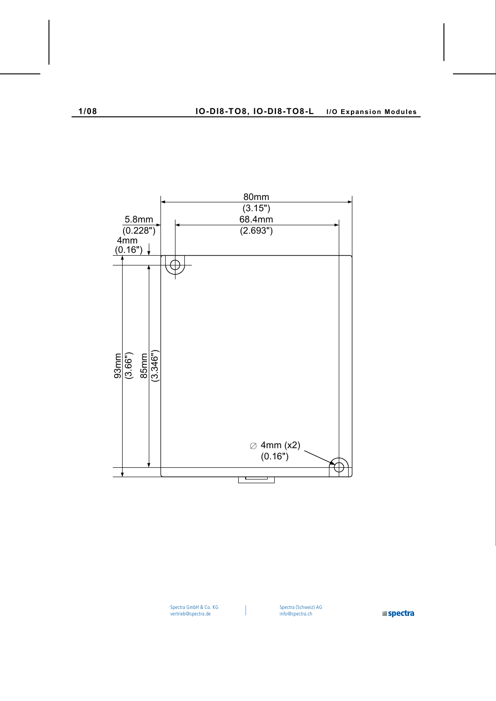

I

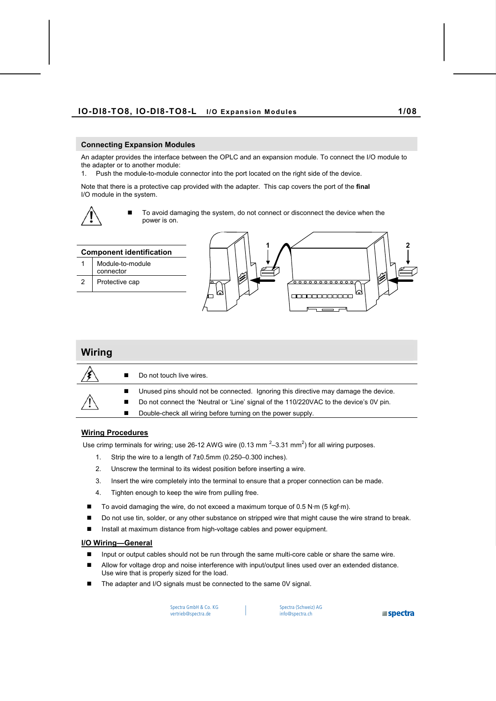# **Connecting Expansion Modules**

An adapter provides the interface between the OPLC and an expansion module. To connect the I/O module to the adapter or to another module:

1. Push the module-to-module connector into the port located on the right side of the device.

Note that there is a protective cap provided with the adapter. This cap covers the port of the **final**  I/O module in the system.



 To avoid damaging the system, do not connect or disconnect the device when the power is on.

| <b>Component identification</b> |                               |  |  |  |
|---------------------------------|-------------------------------|--|--|--|
|                                 | Module-to-module<br>connector |  |  |  |
| 2                               | Protective cap                |  |  |  |
|                                 |                               |  |  |  |



| Wiring |   |                                                                                        |
|--------|---|----------------------------------------------------------------------------------------|
|        | ■ | Do not touch live wires.                                                               |
|        | п | Unused pins should not be connected. Ignoring this directive may damage the device.    |
|        | п | Do not connect the 'Neutral or 'Line' signal of the 110/220VAC to the device's 0V pin. |
|        | п | Double-check all wiring before turning on the power supply.                            |

# **Wiring Procedures**

Use crimp terminals for wiring; use 26-12 AWG wire (0.13 mm  $2-3.31$  mm<sup>2</sup>) for all wiring purposes.

- 1. Strip the wire to a length of 7±0.5mm (0.250–0.300 inches).
- 2. Unscrew the terminal to its widest position before inserting a wire.
- 3. Insert the wire completely into the terminal to ensure that a proper connection can be made.
- 4. Tighten enough to keep the wire from pulling free.
- $\blacksquare$  To avoid damaging the wire, do not exceed a maximum torque of 0.5 N·m (5 kgf·m).
- Do not use tin, solder, or any other substance on stripped wire that might cause the wire strand to break.
- Install at maximum distance from high-voltage cables and power equipment.

#### **I/O Wiring—General**

- Input or output cables should not be run through the same multi-core cable or share the same wire.
- **Allow for voltage drop and noise interference with input/output lines used over an extended distance.** Use wire that is properly sized for the load.
- The adapter and I/O signals must be connected to the same 0V signal.

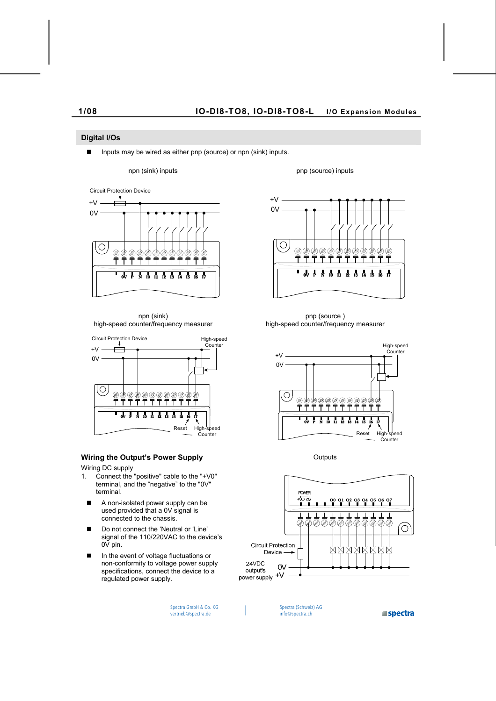# **Digital I/Os**

■ Inputs may be wired as either pnp (source) or npn (sink) inputs.

npn (sink) inputs pnp (source) inputs



npn (sink) high-speed counter/frequency measurer



# **Wiring the Output's Power Supply Culputs** Outputs

Wiring DC supply

- 1. Connect the "positive" cable to the "+V0" terminal, and the "negative" to the "0V" terminal.
	- A non-isolated power supply can be used provided that a 0V signal is connected to the chassis.
	- Do not connect the 'Neutral or 'Line' signal of the 110/220VAC to the device's 0V pin.
	- In the event of voltage fluctuations or non-conformity to voltage power supply specifications, connect the device to a regulated power supply.



pnp (source ) high-speed counter/frequency measurer



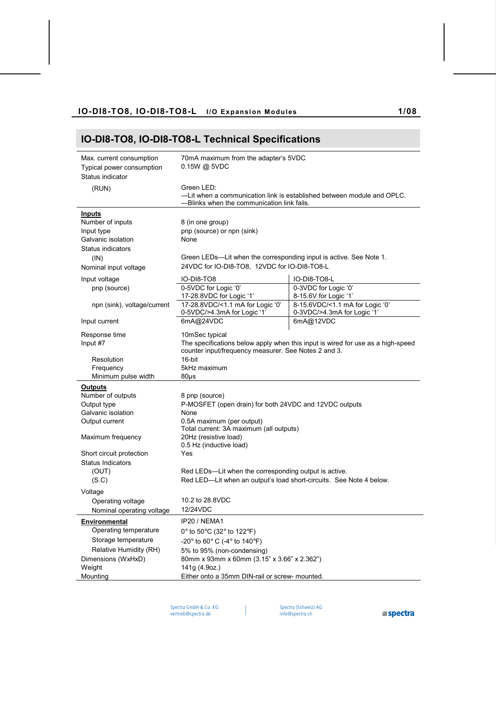# **IO-DI8-TO8, IO-DI8-TO8-L Technical Specifications**

| Max. current consumption<br>Typical power consumption<br>Status indicator | 70mA maximum from the adapter's 5VDC<br>$0.15W$ @ 5VDC                               |                                                                                 |  |
|---------------------------------------------------------------------------|--------------------------------------------------------------------------------------|---------------------------------------------------------------------------------|--|
|                                                                           |                                                                                      |                                                                                 |  |
| (RUN)                                                                     | Green LED:<br>-Lit when a communication link is established between module and OPLC. |                                                                                 |  |
|                                                                           | -Blinks when the communication link fails.                                           |                                                                                 |  |
|                                                                           |                                                                                      |                                                                                 |  |
| <b>Inputs</b>                                                             |                                                                                      |                                                                                 |  |
| Number of inputs                                                          | 8 (in one group)                                                                     |                                                                                 |  |
| Input type                                                                | pnp (source) or npn (sink)                                                           |                                                                                 |  |
| Galvanic isolation                                                        | None                                                                                 |                                                                                 |  |
| Status indicators                                                         |                                                                                      |                                                                                 |  |
| (IN)                                                                      | Green LEDs—Lit when the corresponding input is active. See Note 1.                   |                                                                                 |  |
| Nominal input voltage                                                     | 24VDC for IO-DI8-TO8, 12VDC for IO-DI8-TO8-L                                         |                                                                                 |  |
| Input voltage                                                             | IO-DI8-TO8                                                                           | IO-DI8-TO8-L                                                                    |  |
| pnp (source)                                                              | 0-5VDC for Logic '0'                                                                 | 0-3VDC for Logic '0'                                                            |  |
|                                                                           | 17-28.8VDC for Logic '1'                                                             | 8-15.6V for Logic '1'                                                           |  |
| npn (sink), voltage/current                                               | 17-28.8VDC/<1.1 mA for Logic '0'                                                     | 8-15.6VDC/<1.1 mA for Logic '0'                                                 |  |
|                                                                           | 0-5VDC/>4.3mA for Logic '1'                                                          | 0-3VDC/>4.3mA for Logic '1'                                                     |  |
| Input current                                                             | 6mA@24VDC                                                                            | 6mA@12VDC                                                                       |  |
| Response time                                                             | 10mSec typical                                                                       |                                                                                 |  |
| Input #7                                                                  |                                                                                      | The specifications below apply when this input is wired for use as a high-speed |  |
|                                                                           | counter input/frequency measurer. See Notes 2 and 3.                                 |                                                                                 |  |
| Resolution                                                                | 16-bit                                                                               |                                                                                 |  |
| Frequency                                                                 | 5kHz maximum                                                                         |                                                                                 |  |
| Minimum pulse width                                                       | $80\mu s$                                                                            |                                                                                 |  |
| <b>Outputs</b>                                                            |                                                                                      |                                                                                 |  |
| Number of outputs                                                         | 8 pnp (source)                                                                       |                                                                                 |  |
| Output type                                                               | P-MOSFET (open drain) for both 24VDC and 12VDC outputs                               |                                                                                 |  |
| Galvanic isolation                                                        | None                                                                                 |                                                                                 |  |
| Output current                                                            | 0.5A maximum (per output)<br>Total current: 3A maximum (all outputs)                 |                                                                                 |  |
| Maximum frequency                                                         | 20Hz (resistive load)<br>0.5 Hz (inductive load)                                     |                                                                                 |  |
| Short circuit protection                                                  | Yes                                                                                  |                                                                                 |  |
| <b>Status Indicators</b>                                                  |                                                                                      |                                                                                 |  |
| (OUT)                                                                     | Red LEDs—Lit when the corresponding output is active.                                |                                                                                 |  |
| (S.C)                                                                     | Red LED-Lit when an output's load short-circuits. See Note 4 below.                  |                                                                                 |  |
| Voltage                                                                   |                                                                                      |                                                                                 |  |
| Operating voltage                                                         | 10.2 to 28.8VDC                                                                      |                                                                                 |  |
| Nominal operating voltage                                                 | 12/24VDC                                                                             |                                                                                 |  |
|                                                                           |                                                                                      |                                                                                 |  |
| <b>Environmental</b>                                                      | IP20 / NEMA1                                                                         |                                                                                 |  |
| Operating temperature                                                     | 0° to 50°C (32° to 122°F)                                                            |                                                                                 |  |
| Storage temperature                                                       | $-20^{\circ}$ to 60° C ( $-4^{\circ}$ to 140°F)                                      |                                                                                 |  |
| Relative Humidity (RH)                                                    | 5% to 95% (non-condensing)                                                           |                                                                                 |  |
| Dimensions (WxHxD)                                                        | 80mm x 93mm x 60mm (3.15" x 3.66" x 2.362")                                          |                                                                                 |  |
| Weight                                                                    | 141g (4.9oz.)                                                                        |                                                                                 |  |
| Mounting                                                                  | Either onto a 35mm DIN-rail or screw- mounted.                                       |                                                                                 |  |

 $\overline{\phantom{a}}$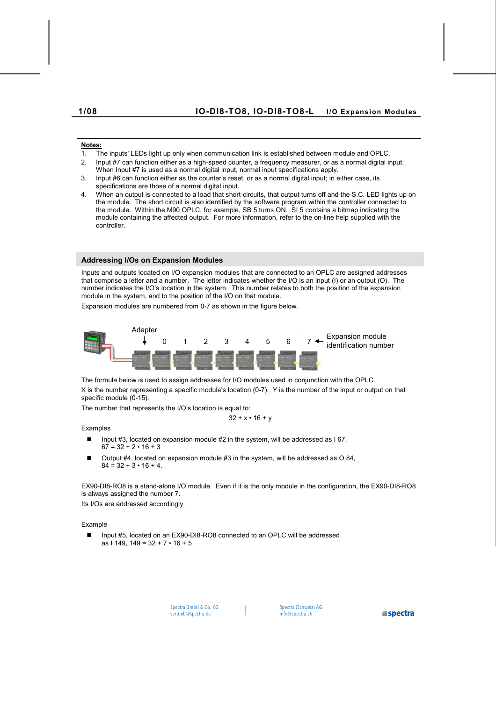# **Notes:**

- 1. The inputs' LEDs light up only when communication link is established between module and OPLC.
- 2. Input #7 can function either as a high-speed counter, a frequency measurer, or as a normal digital input. When Input #7 is used as a normal digital input, normal input specifications apply.
- 3. Input #6 can function either as the counter's reset, or as a normal digital input; in either case, its specifications are those of a normal digital input.
- 4. When an output is connected to a load that short-circuits, that output turns off and the S.C. LED lights up on the module. The short circuit is also identified by the software program within the controller connected to the module. Within the M90 OPLC, for example, SB 5 turns ON. SI 5 contains a bitmap indicating the module containing the affected output. For more information, refer to the on-line help supplied with the controller.

# **Addressing I/Os on Expansion Modules**

Inputs and outputs located on I/O expansion modules that are connected to an OPLC are assigned addresses that comprise a letter and a number. The letter indicates whether the I/O is an input (I) or an output (O). The number indicates the I/O's location in the system. This number relates to both the position of the expansion module in the system, and to the position of the I/O on that module.

Expansion modules are numbered from 0-7 as shown in the figure below.



The formula below is used to assign addresses for I/O modules used in conjunction with the OPLC.

X is the number representing a specific module's location (0-7). Y is the number of the input or output on that specific module (0-15).

The number that represents the I/O's location is equal to:

$$
32 + x \cdot 16 + y
$$

# Examples

- Input #3, located on expansion module #2 in the system, will be addressed as  $167$ .  $67 = 32 + 2 \cdot 16 + 3$
- Output #4, located on expansion module #3 in the system, will be addressed as O 84,  $84 = 32 + 3 \cdot 16 + 4$

EX90-DI8-RO8 is a stand-alone I/O module. Even if it is the only module in the configuration, the EX90-DI8-RO8 is always assigned the number 7.

Its I/Os are addressed accordingly.

# Example

■ Input #5, located on an EX90-DI8-RO8 connected to an OPLC will be addressed as I 149, 149 =  $32 + 7 \cdot 16 + 5$